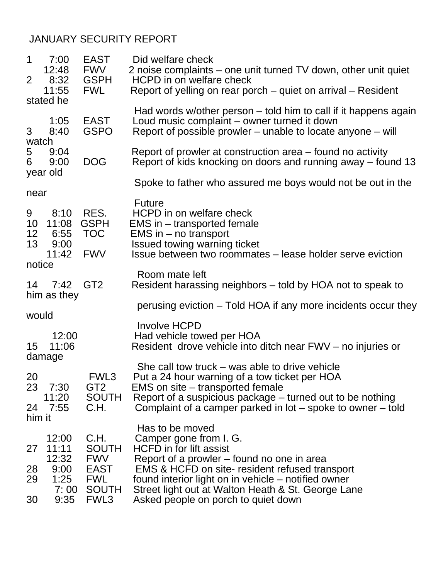## JANUARY SECURITY REPORT

| $\mathbf 1$<br>$\overline{2}$ | 7:00<br>12:48<br>8:32<br>11:55                          | <b>EAST</b><br><b>FWV</b><br><b>GSPH</b><br><b>FWL</b>                                  | Did welfare check<br>2 noise complaints – one unit turned TV down, other unit quiet<br>HCPD in on welfare check                                                                                                                                                                                                         |
|-------------------------------|---------------------------------------------------------|-----------------------------------------------------------------------------------------|-------------------------------------------------------------------------------------------------------------------------------------------------------------------------------------------------------------------------------------------------------------------------------------------------------------------------|
|                               | stated he                                               |                                                                                         | Report of yelling on rear porch – quiet on arrival – Resident                                                                                                                                                                                                                                                           |
| 3<br>watch                    | 1:05<br>8:40                                            | <b>EAST</b><br><b>GSPO</b>                                                              | Had words w/other person – told him to call if it happens again<br>Loud music complaint – owner turned it down<br>Report of possible prowler – unable to locate anyone – will                                                                                                                                           |
| 5<br>6                        | 9:04<br>9:00<br>year old                                | <b>DOG</b>                                                                              | Report of prowler at construction area – found no activity<br>Report of kids knocking on doors and running away – found 13                                                                                                                                                                                              |
| near                          |                                                         |                                                                                         | Spoke to father who assured me boys would not be out in the                                                                                                                                                                                                                                                             |
| 9<br>10<br>12<br>13<br>notice | 8:10<br>11:08<br>6:55<br>9:00<br>11:42                  | RES.<br><b>GSPH</b><br><b>TOC</b><br><b>FWV</b>                                         | <b>Future</b><br>HCPD in on welfare check<br>EMS in – transported female<br>EMS in - no transport<br>Issued towing warning ticket<br>Issue between two roommates – lease holder serve eviction                                                                                                                          |
| 14                            | 7:42<br>him as they                                     | GT <sub>2</sub>                                                                         | Room mate left<br>Resident harassing neighbors – told by HOA not to speak to                                                                                                                                                                                                                                            |
| would                         |                                                         |                                                                                         | perusing eviction – Told HOA if any more incidents occur they                                                                                                                                                                                                                                                           |
| 15                            | 12:00<br>11:06<br>damage                                |                                                                                         | <b>Involve HCPD</b><br>Had vehicle towed per HOA<br>Resident drove vehicle into ditch near FWV – no injuries or                                                                                                                                                                                                         |
| 20<br>23<br>24                | 7:30<br>11:20<br>7:55                                   | FWL3<br>GT <sub>2</sub><br><b>SOUTH</b><br>C.H.                                         | She call tow truck $-$ was able to drive vehicle<br>Put a 24 hour warning of a tow ticket per HOA<br>EMS on site – transported female<br>Report of a suspicious package – turned out to be nothing<br>Complaint of a camper parked in $lot$ – spoke to owner – told                                                     |
| him it                        |                                                         |                                                                                         | Has to be moved                                                                                                                                                                                                                                                                                                         |
| 27<br>28<br>29<br>30          | 12:00<br>11:11<br>12:32<br>9:00<br>1:25<br>7:00<br>9:35 | C.H.<br><b>SOUTH</b><br><b>FWV</b><br><b>EAST</b><br><b>FWL</b><br><b>SOUTH</b><br>FWL3 | Camper gone from I. G.<br><b>HCFD</b> in for lift assist<br>Report of a prowler – found no one in area<br><b>EMS &amp; HCFD on site- resident refused transport</b><br>found interior light on in vehicle - notified owner<br>Street light out at Walton Heath & St. George Lane<br>Asked people on porch to quiet down |